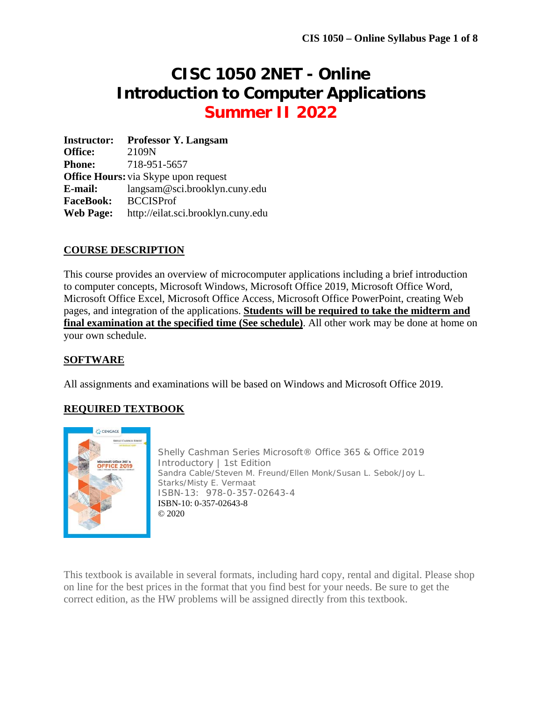# **CISC 1050 2NET - Online Introduction to Computer Applications Summer II 2022**

**Instructor: Professor Y. Langsam Office:** 2109N **Phone:** 718-951-5657 **Office Hours:** via Skype upon request **E-mail:** langsam@sci.brooklyn.cuny.edu **FaceBook:** BCCISProf **Web Page:** http://eilat.sci.brooklyn.cuny.edu

#### **COURSE DESCRIPTION**

This course provides an overview of microcomputer applications including a brief introduction to computer concepts, Microsoft Windows, Microsoft Office 2019, Microsoft Office Word, Microsoft Office Excel, Microsoft Office Access, Microsoft Office PowerPoint, creating Web pages, and integration of the applications. **Students will be required to take the midterm and final examination at the specified time (See schedule)**. All other work may be done at home on your own schedule.

#### **SOFTWARE**

All assignments and examinations will be based on Windows and Microsoft Office 2019.

### **REQUIRED TEXTBOOK**



Shelly Cashman Series Microsoft® Office 365 & Office 2019 Introductory | 1st Edition Sandra Cable/Steven M. Freund/Ellen Monk/Susan L. Sebok/Joy L. Starks/Misty E. Vermaat ISBN-13: 978-0-357-02643-4 ISBN-10: 0-357-02643-8 © 2020

This textbook is available in several formats, including hard copy, rental and digital. Please shop on line for the best prices in the format that you find best for your needs. Be sure to get the correct edition, as the HW problems will be assigned directly from this textbook.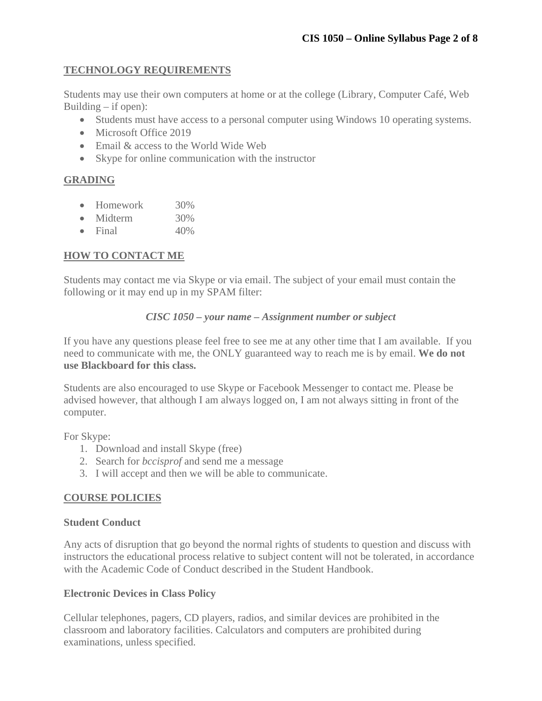#### **TECHNOLOGY REQUIREMENTS**

Students may use their own computers at home or at the college (Library, Computer Café, Web Building  $-$  if open):

- Students must have access to a personal computer using Windows 10 operating systems.
- Microsoft Office 2019
- Email & access to the World Wide Web
- Skype for online communication with the instructor

#### **GRADING**

- Homework 30%
- Midterm 30%
- $\bullet$  Final  $40\%$

#### **HOW TO CONTACT ME**

Students may contact me via Skype or via email. The subject of your email must contain the following or it may end up in my SPAM filter:

#### *CISC 1050 – your name – Assignment number or subject*

If you have any questions please feel free to see me at any other time that I am available. If you need to communicate with me, the ONLY guaranteed way to reach me is by email. **We do not use Blackboard for this class.** 

Students are also encouraged to use Skype or Facebook Messenger to contact me. Please be advised however, that although I am always logged on, I am not always sitting in front of the computer.

For Skype:

- 1. Download and install Skype (free)
- 2. Search for *bccisprof* and send me a message
- 3. I will accept and then we will be able to communicate.

#### **COURSE POLICIES**

#### **Student Conduct**

Any acts of disruption that go beyond the normal rights of students to question and discuss with instructors the educational process relative to subject content will not be tolerated, in accordance with the Academic Code of Conduct described in the Student Handbook.

#### **Electronic Devices in Class Policy**

Cellular telephones, pagers, CD players, radios, and similar devices are prohibited in the classroom and laboratory facilities. Calculators and computers are prohibited during examinations, unless specified.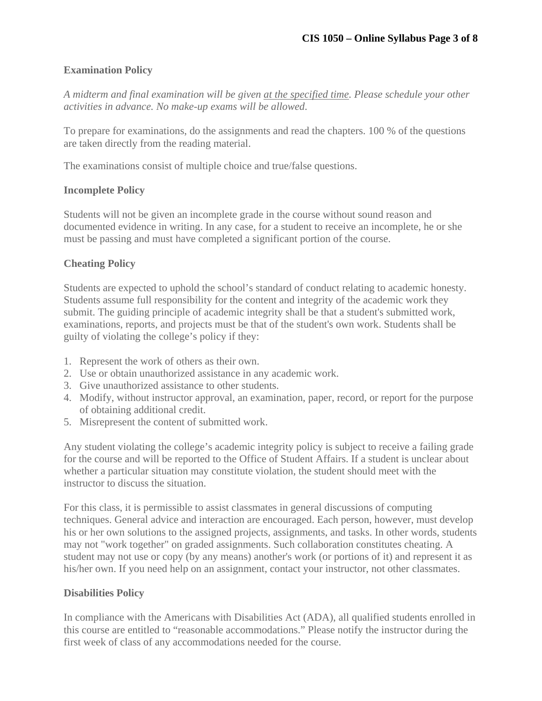#### **Examination Policy**

*A midterm and final examination will be given at the specified time. Please schedule your other activities in advance. No make-up exams will be allowed*.

To prepare for examinations, do the assignments and read the chapters. 100 % of the questions are taken directly from the reading material.

The examinations consist of multiple choice and true/false questions.

#### **Incomplete Policy**

Students will not be given an incomplete grade in the course without sound reason and documented evidence in writing. In any case, for a student to receive an incomplete, he or she must be passing and must have completed a significant portion of the course.

#### **Cheating Policy**

Students are expected to uphold the school's standard of conduct relating to academic honesty. Students assume full responsibility for the content and integrity of the academic work they submit. The guiding principle of academic integrity shall be that a student's submitted work, examinations, reports, and projects must be that of the student's own work. Students shall be guilty of violating the college's policy if they:

- 1. Represent the work of others as their own.
- 2. Use or obtain unauthorized assistance in any academic work.
- 3. Give unauthorized assistance to other students.
- 4. Modify, without instructor approval, an examination, paper, record, or report for the purpose of obtaining additional credit.
- 5. Misrepresent the content of submitted work.

Any student violating the college's academic integrity policy is subject to receive a failing grade for the course and will be reported to the Office of Student Affairs. If a student is unclear about whether a particular situation may constitute violation, the student should meet with the instructor to discuss the situation.

For this class, it is permissible to assist classmates in general discussions of computing techniques. General advice and interaction are encouraged. Each person, however, must develop his or her own solutions to the assigned projects, assignments, and tasks. In other words, students may not "work together" on graded assignments. Such collaboration constitutes cheating. A student may not use or copy (by any means) another's work (or portions of it) and represent it as his/her own. If you need help on an assignment, contact your instructor, not other classmates.

#### **Disabilities Policy**

In compliance with the Americans with Disabilities Act (ADA), all qualified students enrolled in this course are entitled to "reasonable accommodations." Please notify the instructor during the first week of class of any accommodations needed for the course.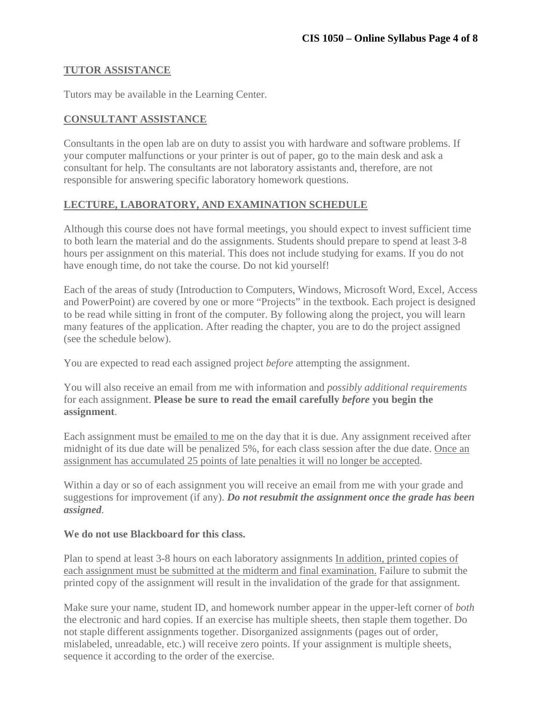#### **TUTOR ASSISTANCE**

Tutors may be available in the Learning Center.

#### **CONSULTANT ASSISTANCE**

Consultants in the open lab are on duty to assist you with hardware and software problems. If your computer malfunctions or your printer is out of paper, go to the main desk and ask a consultant for help. The consultants are not laboratory assistants and, therefore, are not responsible for answering specific laboratory homework questions.

#### **LECTURE, LABORATORY, AND EXAMINATION SCHEDULE**

Although this course does not have formal meetings, you should expect to invest sufficient time to both learn the material and do the assignments. Students should prepare to spend at least 3-8 hours per assignment on this material. This does not include studying for exams. If you do not have enough time, do not take the course. Do not kid yourself!

Each of the areas of study (Introduction to Computers, Windows, Microsoft Word, Excel, Access and PowerPoint) are covered by one or more "Projects" in the textbook. Each project is designed to be read while sitting in front of the computer. By following along the project, you will learn many features of the application. After reading the chapter, you are to do the project assigned (see the schedule below).

You are expected to read each assigned project *before* attempting the assignment.

You will also receive an email from me with information and *possibly additional requirements* for each assignment. **Please be sure to read the email carefully** *before* **you begin the assignment**.

Each assignment must be emailed to me on the day that it is due. Any assignment received after midnight of its due date will be penalized 5%, for each class session after the due date. Once an assignment has accumulated 25 points of late penalties it will no longer be accepted.

Within a day or so of each assignment you will receive an email from me with your grade and suggestions for improvement (if any). *Do not resubmit the assignment once the grade has been assigned.* 

#### **We do not use Blackboard for this class.**

Plan to spend at least 3-8 hours on each laboratory assignments In addition, printed copies of each assignment must be submitted at the midterm and final examination. Failure to submit the printed copy of the assignment will result in the invalidation of the grade for that assignment.

Make sure your name, student ID, and homework number appear in the upper-left corner of *both* the electronic and hard copies. If an exercise has multiple sheets, then staple them together. Do not staple different assignments together. Disorganized assignments (pages out of order, mislabeled, unreadable, etc.) will receive zero points. If your assignment is multiple sheets, sequence it according to the order of the exercise.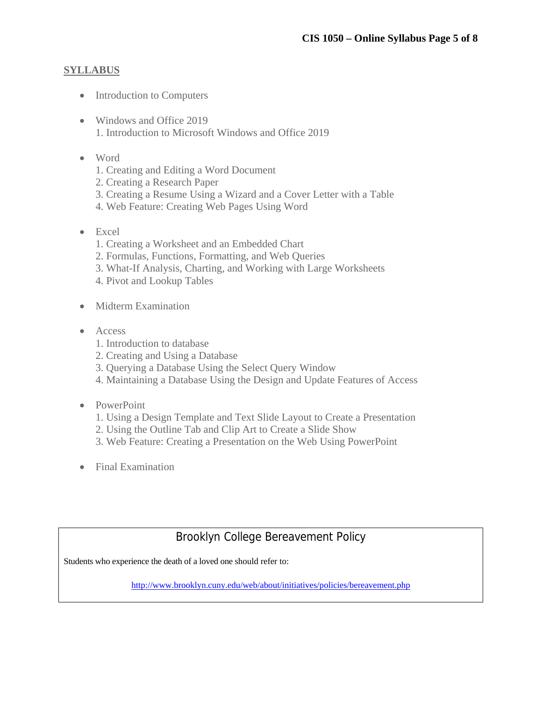#### **SYLLABUS**

- Introduction to Computers
- Windows and Office 2019 1. Introduction to Microsoft Windows and Office 2019
- Word
	- 1. Creating and Editing a Word Document
	- 2. Creating a Research Paper
	- 3. Creating a Resume Using a Wizard and a Cover Letter with a Table
	- 4. Web Feature: Creating Web Pages Using Word
- Excel
	- 1. Creating a Worksheet and an Embedded Chart
	- 2. Formulas, Functions, Formatting, and Web Queries
	- 3. What-If Analysis, Charting, and Working with Large Worksheets
	- 4. Pivot and Lookup Tables
- Midterm Examination
- Access
	- 1. Introduction to database
	- 2. Creating and Using a Database
	- 3. Querying a Database Using the Select Query Window
	- 4. Maintaining a Database Using the Design and Update Features of Access
- PowerPoint
	- 1. Using a Design Template and Text Slide Layout to Create a Presentation
	- 2. Using the Outline Tab and Clip Art to Create a Slide Show
	- 3. Web Feature: Creating a Presentation on the Web Using PowerPoint
- Final Examination

# Brooklyn College Bereavement Policy

Students who experience the death of a loved one should refer to:

http://www.brooklyn.cuny.edu/web/about/initiatives/policies/bereavement.php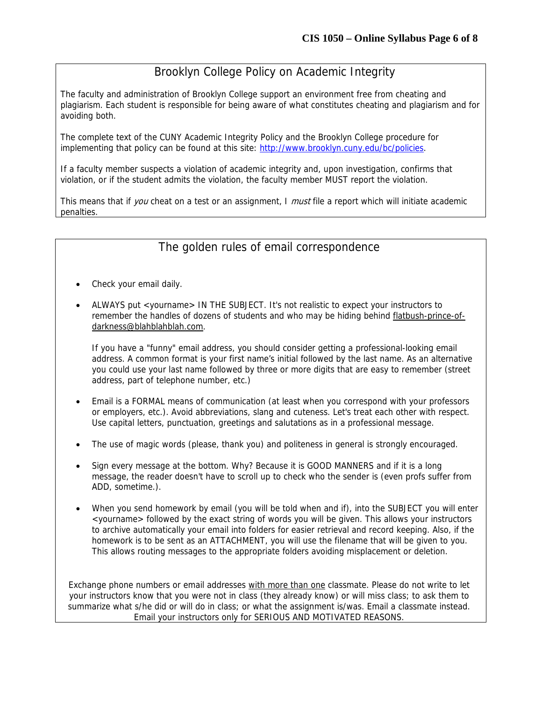# Brooklyn College Policy on Academic Integrity

The faculty and administration of Brooklyn College support an environment free from cheating and plagiarism. Each student is responsible for being aware of what constitutes cheating and plagiarism and for avoiding both.

The complete text of the CUNY Academic Integrity Policy and the Brooklyn College procedure for implementing that policy can be found at this site: http://www.brooklyn.cuny.edu/bc/policies.

If a faculty member suspects a violation of academic integrity and, upon investigation, confirms that violation, or if the student admits the violation, the faculty member MUST report the violation.

This means that if you cheat on a test or an assignment, I must file a report which will initiate academic penalties.

## The golden rules of email correspondence

- Check your email daily.
- ALWAYS put <yourname> IN THE SUBJECT. It's not realistic to expect your instructors to remember the handles of dozens of students and who may be hiding behind flatbush-prince-ofdarkness@blahblahblah.com.

If you have a "funny" email address, you should consider getting a professional-looking email address. A common format is your first name's initial followed by the last name. As an alternative you could use your last name followed by three or more digits that are easy to remember (street address, part of telephone number, etc.)

- Email is a FORMAL means of communication (at least when you correspond with your professors or employers, etc.). Avoid abbreviations, slang and cuteness. Let's treat each other with respect. Use capital letters, punctuation, greetings and salutations as in a professional message.
- The use of magic words (please, thank you) and politeness in general is strongly encouraged.
- Sign every message at the bottom. Why? Because it is GOOD MANNERS and if it is a long message, the reader doesn't have to scroll up to check who the sender is (even profs suffer from ADD, sometime.).
- When you send homework by email (you will be told when and if), into the SUBJECT you will enter <yourname> followed by the exact string of words you will be given. This allows your instructors to archive automatically your email into folders for easier retrieval and record keeping. Also, if the homework is to be sent as an ATTACHMENT, you will use the filename that will be given to you. This allows routing messages to the appropriate folders avoiding misplacement or deletion.

Exchange phone numbers or email addresses with more than one classmate. Please do not write to let your instructors know that you were not in class (they already know) or will miss class; to ask them to summarize what s/he did or will do in class; or what the assignment is/was. Email a classmate instead. Email your instructors only for SERIOUS AND MOTIVATED REASONS.